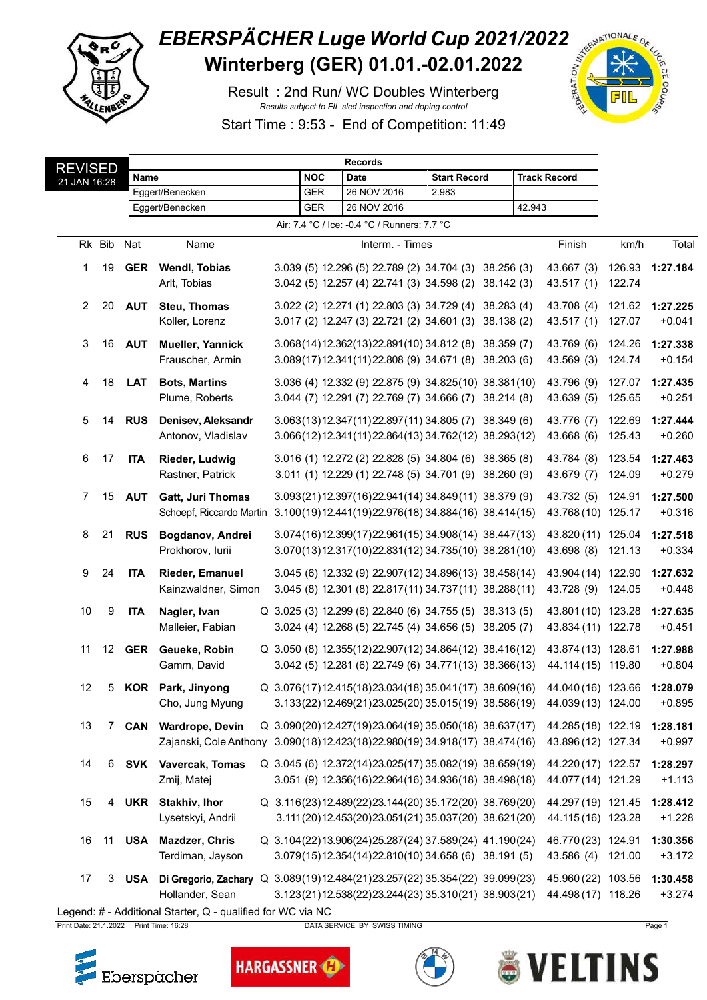

## **EBERSPÄCHER Luge World Cup 2021/2022**<br>Winterberg (GER) 01.01.-02.01.2022 Winterberg (GER) 01.01.-02.01.2022

Result : 2nd Run/ WC Doubles Winterberg *Results subject to FIL sled inspection and doping control*



Start Time : 9:53 - End of Competition: 11:49

| <b>REVISED</b>                               |        |            | <b>Records</b>                                                             |  |            |                                                                        |  |                     |  |        |                     |        |          |
|----------------------------------------------|--------|------------|----------------------------------------------------------------------------|--|------------|------------------------------------------------------------------------|--|---------------------|--|--------|---------------------|--------|----------|
| 21 JAN 16:28                                 |        | Name       |                                                                            |  | <b>NOC</b> | <b>Date</b>                                                            |  | <b>Start Record</b> |  |        | <b>Track Record</b> |        |          |
|                                              |        |            | Eggert/Benecken                                                            |  | <b>GER</b> | 26 NOV 2016                                                            |  | 2.983               |  |        |                     |        |          |
|                                              |        |            | Eggert/Benecken                                                            |  | <b>GER</b> | 26 NOV 2016                                                            |  |                     |  | 42.943 |                     |        |          |
| Air: 7.4 °C / Ice: -0.4 °C / Runners: 7.7 °C |        |            |                                                                            |  |            |                                                                        |  |                     |  |        |                     |        |          |
|                                              | Rk Bib | Nat        | Name                                                                       |  |            | Interm. - Times                                                        |  |                     |  |        | Finish              | km/h   | Total    |
| 1                                            | 19     | <b>GER</b> | <b>Wendl, Tobias</b>                                                       |  |            | 3.039 (5) 12.296 (5) 22.789 (2) 34.704 (3) 38.256 (3)                  |  |                     |  |        | 43.667 (3)          | 126.93 | 1:27.184 |
|                                              |        |            | Arlt, Tobias                                                               |  |            | 3.042 (5) 12.257 (4) 22.741 (3) 34.598 (2) 38.142 (3)                  |  |                     |  |        | 43.517 (1)          | 122.74 |          |
| $\overline{2}$                               | 20     | <b>AUT</b> | <b>Steu, Thomas</b>                                                        |  |            | 3.022 (2) 12.271 (1) 22.803 (3) 34.729 (4) 38.283 (4)                  |  |                     |  |        | 43.708 (4)          | 121.62 | 1:27.225 |
|                                              |        |            | Koller, Lorenz                                                             |  |            | 3.017 (2) 12.247 (3) 22.721 (2) 34.601 (3) 38.138 (2)                  |  |                     |  |        | 43.517 (1)          | 127.07 | $+0.041$ |
| 3                                            | 16     | <b>AUT</b> | Mueller, Yannick                                                           |  |            | 3.068(14)12.362(13)22.891(10)34.812(8) 38.359(7)                       |  |                     |  |        | 43.769 (6)          | 124.26 | 1:27.338 |
|                                              |        |            | Frauscher, Armin                                                           |  |            | 3.089(17)12.341(11)22.808 (9) 34.671 (8) 38.203 (6)                    |  |                     |  |        | 43.569 (3)          | 124.74 | $+0.154$ |
| 4                                            | 18     | <b>LAT</b> | <b>Bots, Martins</b>                                                       |  |            | 3.036 (4) 12.332 (9) 22.875 (9) 34.825 (10) 38.381 (10)                |  |                     |  |        | 43.796 (9)          | 127.07 | 1:27.435 |
|                                              |        |            | Plume, Roberts                                                             |  |            | 3.044 (7) 12.291 (7) 22.769 (7) 34.666 (7) 38.214 (8)                  |  |                     |  |        | 43.639 (5)          | 125.65 | $+0.251$ |
| 5                                            | 14     | <b>RUS</b> | Denisev, Aleksandr                                                         |  |            | $3.063(13)12.347(11)22.897(11)34.805(7)38.349(6)$                      |  |                     |  |        | 43.776 (7)          | 122.69 | 1:27.444 |
|                                              |        |            | Antonov, Vladislav                                                         |  |            | 3.066(12)12.341(11)22.864(13)34.762(12)38.293(12)                      |  |                     |  |        | 43.668 (6)          | 125.43 | $+0.260$ |
| 6                                            | 17     | <b>ITA</b> | <b>Rieder, Ludwig</b>                                                      |  |            | 3.016 (1) 12.272 (2) 22.828 (5) 34.804 (6) 38.365 (8)                  |  |                     |  |        | 43.784 (8)          | 123.54 | 1:27.463 |
|                                              |        |            | Rastner, Patrick                                                           |  |            | 3.011 (1) 12.229 (1) 22.748 (5) 34.701 (9) 38.260 (9)                  |  |                     |  |        | 43.679 (7)          | 124.09 | $+0.279$ |
| 7                                            | 15     | <b>AUT</b> | <b>Gatt, Juri Thomas</b>                                                   |  |            | 3.093(21)12.397(16)22.941(14)34.849(11) 38.379(9)                      |  |                     |  |        | 43.732 (5)          | 124.91 | 1:27.500 |
|                                              |        |            | Schoepf, Riccardo Martin                                                   |  |            | 3.100(19)12.441(19)22.976(18) 34.884(16) 38.414(15)                    |  |                     |  |        | 43.768 (10) 125.17  |        | $+0.316$ |
| 8                                            | 21     | <b>RUS</b> | Bogdanov, Andrei                                                           |  |            | 3.074(16)12.399(17)22.961(15)34.908(14)38.447(13)                      |  |                     |  |        | 43.820 (11) 125.04  |        | 1:27.518 |
|                                              |        |            | Prokhorov, lurii                                                           |  |            | 3.070(13)12.317(10)22.831(12)34.735(10)38.281(10)                      |  |                     |  |        | 43.698 (8)          | 121.13 | $+0.334$ |
| 9                                            | 24     | <b>ITA</b> | <b>Rieder, Emanuel</b>                                                     |  |            | 3.045 (6) 12.332 (9) 22.907(12) 34.896(13) 38.458(14)                  |  |                     |  |        | 43.904 (14) 122.90  |        | 1:27.632 |
|                                              |        |            | Kainzwaldner, Simon                                                        |  |            | 3.045 (8) 12.301 (8) 22.817 (11) 34.737 (11) 38.288 (11)               |  |                     |  |        | 43.728 (9) 124.05   |        | $+0.448$ |
| 10                                           | 9      | <b>ITA</b> | Nagler, Ivan                                                               |  |            | Q 3.025 (3) 12.299 (6) 22.840 (6) 34.755 (5) 38.313 (5)                |  |                     |  |        | 43.801 (10) 123.28  |        | 1:27.635 |
|                                              |        |            | Malleier, Fabian                                                           |  |            | 3.024 (4) 12.268 (5) 22.745 (4) 34.656 (5) 38.205 (7)                  |  |                     |  |        | 43.834 (11) 122.78  |        | $+0.451$ |
| 11                                           | 12     | GER        | Geueke, Robin                                                              |  |            | Q 3.050 (8) 12.355(12) 22.907(12) 34.864(12) 38.416(12)                |  |                     |  |        | 43.874 (13) 128.61  |        | 1:27.988 |
|                                              |        |            | Gamm, David                                                                |  |            | 3.042 (5) 12.281 (6) 22.749 (6) 34.771 (13) 38.366 (13)                |  |                     |  |        | 44.114 (15) 119.80  |        | $+0.804$ |
| 12                                           |        |            | 5 KOR Park, Jinyong                                                        |  |            | Q 3.076(17)12.415(18)23.034(18)35.041(17) 38.609(16) 44.040(16) 123.66 |  |                     |  |        |                     |        | 1:28.079 |
|                                              |        |            | Cho, Jung Myung                                                            |  |            | 3.133(22)12.469(21)23.025(20)35.015(19)38.586(19)                      |  |                     |  |        | 44.039 (13) 124.00  |        | $+0.895$ |
| 13                                           | 7      | <b>CAN</b> | <b>Wardrope, Devin</b>                                                     |  |            | Q 3.090(20)12.427(19)23.064(19)35.050(18) 38.637(17)                   |  |                     |  |        | 44.285 (18) 122.19  |        | 1:28.181 |
|                                              |        |            | Zajanski, Cole Anthony 3.090(18)12.423(18)22.980(19) 34.918(17) 38.474(16) |  |            |                                                                        |  |                     |  |        | 43.896 (12) 127.34  |        | $+0.997$ |
| 14                                           | 6      | SVK        | Vavercak, Tomas                                                            |  |            | Q 3.045 (6) 12.372(14) 23.025(17) 35.082(19) 38.659(19)                |  |                     |  |        | 44.220 (17) 122.57  |        | 1:28.297 |
|                                              |        |            | Zmij, Matej                                                                |  |            | 3.051 (9) 12.356(16)22.964(16) 34.936(18) 38.498(18)                   |  |                     |  |        | 44.077 (14) 121.29  |        | $+1.113$ |
| 15                                           | 4      | <b>UKR</b> | Stakhiv, Ihor                                                              |  |            | Q 3.116(23)12.489(22)23.144(20)35.172(20) 38.769(20)                   |  |                     |  |        | 44.297 (19) 121.45  |        | 1:28.412 |
|                                              |        |            | Lysetskyi, Andrii                                                          |  |            | 3.111(20)12.453(20)23.051(21)35.037(20)38.621(20)                      |  |                     |  |        | 44.115 (16) 123.28  |        | $+1.228$ |
| 16                                           | 11     | <b>USA</b> | <b>Mazdzer, Chris</b>                                                      |  |            | Q 3.104(22)13.906(24)25.287(24) 37.589(24) 41.190(24)                  |  |                     |  |        | 46.770 (23) 124.91  |        | 1:30.356 |
|                                              |        |            | Terdiman, Jayson                                                           |  |            | 3.079(15)12.354(14)22.810(10)34.658(6) 38.191(5)                       |  |                     |  |        | 43.586(4)           | 121.00 | $+3.172$ |
| 17                                           | 3      | USA        | Di Gregorio, Zachary Q 3.089(19)12.484(21)23.257(22) 35.354(22) 39.099(23) |  |            |                                                                        |  |                     |  |        | 45.960 (22) 103.56  |        | 1:30.458 |
|                                              |        |            | Hollander, Sean                                                            |  |            | 3.123(21)12.538(22)23.244(23) 35.310(21) 38.903(21)                    |  |                     |  |        | 44.498 (17) 118.26  |        | $+3.274$ |
|                                              |        |            |                                                                            |  |            |                                                                        |  |                     |  |        |                     |        |          |

Legend: # - Additional Starter, Q - qualified for WC via NC

Print Date: 21.1.2022 Print Time: 16:28 DATA SERVICE BY SWISS TIMING Page 1